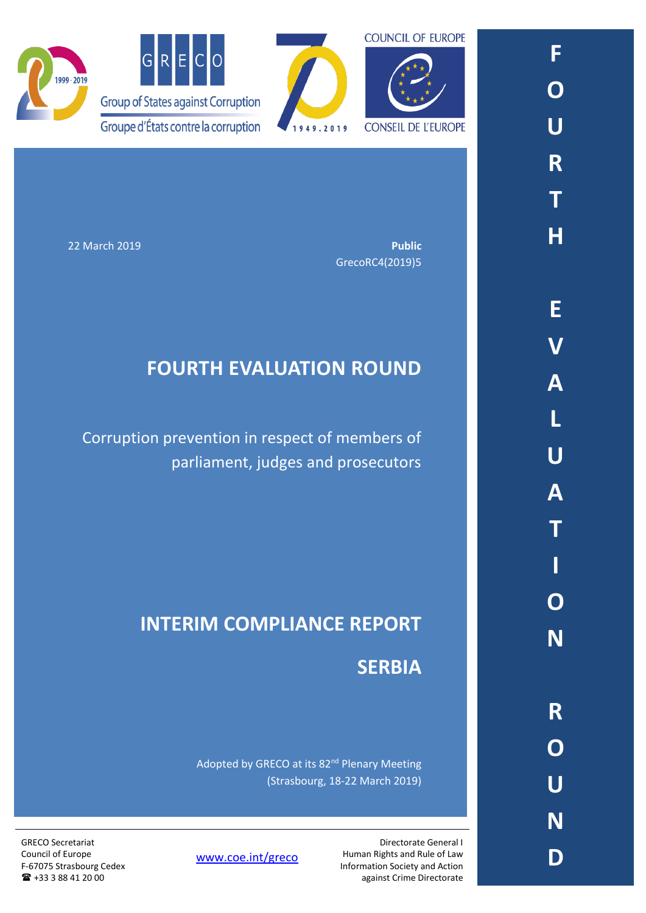



22 March 2019 **Public** GrecoRC4(2019)5

# **FOURTH EVALUATION ROUND**

Corruption prevention in respect of members of parliament, judges and prosecutors

# **INTERIM COMPLIANCE REPORT SERBIA**

Adopted by GRECO at its 82<sup>nd</sup> Plenary Meeting (Strasbourg, 18-22 March 2019)

> Directorate General I Human Rights and Rule of Law Information Society and Action against Crime Directorate

[www.coe.int/greco](http://www.coe.int/greco)

GRECO Secretariat Council of Europe F-67075 Strasbourg Cedex +33 3 88 41 20 00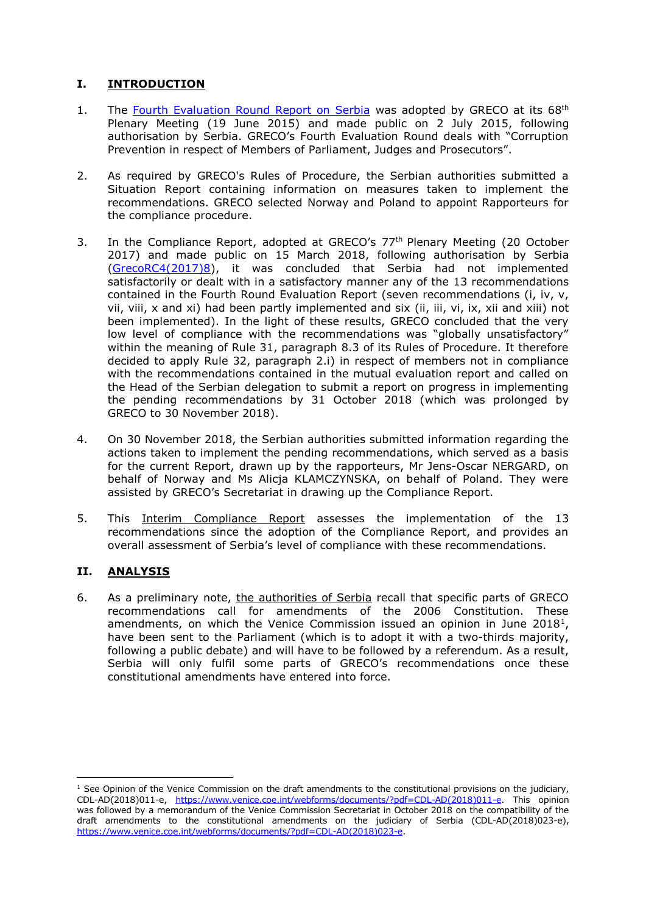## **I. INTRODUCTION**

- 1. The [Fourth Evaluation Round Report on Serbia](https://rm.coe.int/CoERMPublicCommonSearchServices/DisplayDCTMContent?documentId=09000016806ca35d) was adopted by GRECO at its 68<sup>th</sup> Plenary Meeting (19 June 2015) and made public on 2 July 2015, following authorisation by Serbia. GRECO's Fourth Evaluation Round deals with "Corruption Prevention in respect of Members of Parliament, Judges and Prosecutors".
- 2. As required by GRECO's Rules of Procedure, the Serbian authorities submitted a Situation Report containing information on measures taken to implement the recommendations. GRECO selected Norway and Poland to appoint Rapporteurs for the compliance procedure.
- 3. In the Compliance Report, adopted at GRECO's 77<sup>th</sup> Plenary Meeting (20 October 2017) and made public on 15 March 2018, following authorisation by Serbia [\(GrecoRC4\(2017\)8\)](https://rm.coe.int/fourth-evaluation-round-corruption-prevention-in-respect-of-members-of/1680792e56), it was concluded that Serbia had not implemented satisfactorily or dealt with in a satisfactory manner any of the 13 recommendations contained in the Fourth Round Evaluation Report (seven recommendations (i, iv, v, vii, viii, x and xi) had been partly implemented and six (ii, iii, vi, ix, xii and xiii) not been implemented). In the light of these results, GRECO concluded that the very low level of compliance with the recommendations was "globally unsatisfactory" within the meaning of Rule 31, paragraph 8.3 of its Rules of Procedure. It therefore decided to apply Rule 32, paragraph 2.i) in respect of members not in compliance with the recommendations contained in the mutual evaluation report and called on the Head of the Serbian delegation to submit a report on progress in implementing the pending recommendations by 31 October 2018 (which was prolonged by GRECO to 30 November 2018).
- 4. On 30 November 2018, the Serbian authorities submitted information regarding the actions taken to implement the pending recommendations, which served as a basis for the current Report, drawn up by the rapporteurs, Mr Jens-Oscar NERGARD, on behalf of Norway and Ms Alicja KLAMCZYNSKA, on behalf of Poland. They were assisted by GRECO's Secretariat in drawing up the Compliance Report.
- 5. This Interim Compliance Report assesses the implementation of the 13 recommendations since the adoption of the Compliance Report, and provides an overall assessment of Serbia's level of compliance with these recommendations.

### **II. ANALYSIS**

 $\overline{\phantom{a}}$ 

6. As a preliminary note, the authorities of Serbia recall that specific parts of GRECO recommendations call for amendments of the 2006 Constitution. These amendments, on which the Venice Commission issued an opinion in June 2018<sup>1</sup>, have been sent to the Parliament (which is to adopt it with a two-thirds majority, following a public debate) and will have to be followed by a referendum. As a result, Serbia will only fulfil some parts of GRECO's recommendations once these constitutional amendments have entered into force.

 $1$  See Opinion of the Venice Commission on the draft amendments to the constitutional provisions on the judiciary, CDL-AD(2018)011-e, [https://www.venice.coe.int/webforms/documents/?pdf=CDL-AD\(2018\)011-e.](https://www.venice.coe.int/webforms/documents/?pdf=CDL-AD(2018)011-e) This opinion was followed by a memorandum of the Venice Commission Secretariat in October 2018 on the compatibility of the draft amendments to the constitutional amendments on the judiciary of Serbia (CDL-AD(2018)023-e), [https://www.venice.coe.int/webforms/documents/?pdf=CDL-AD\(2018\)023-e.](https://www.venice.coe.int/webforms/documents/?pdf=CDL-AD(2018)023-e)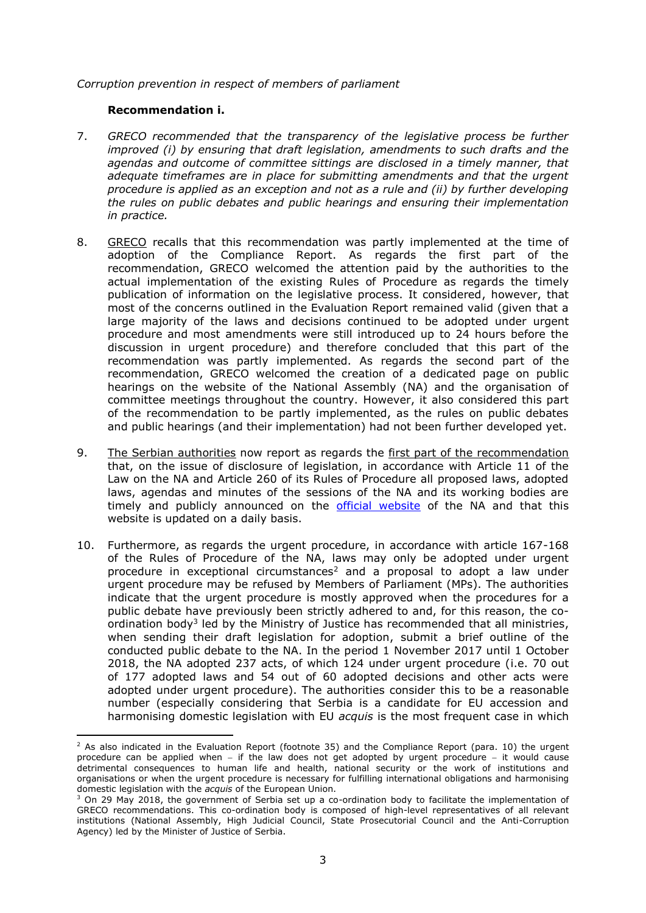*Corruption prevention in respect of members of parliament*

#### **Recommendation i.**

 $\overline{\phantom{a}}$ 

- 7. *GRECO recommended that the transparency of the legislative process be further improved (i) by ensuring that draft legislation, amendments to such drafts and the*  agendas and outcome of committee sittings are disclosed in a timely manner, that *adequate timeframes are in place for submitting amendments and that the urgent procedure is applied as an exception and not as a rule and (ii) by further developing the rules on public debates and public hearings and ensuring their implementation in practice.*
- 8. GRECO recalls that this recommendation was partly implemented at the time of adoption of the Compliance Report. As regards the first part of the recommendation, GRECO welcomed the attention paid by the authorities to the actual implementation of the existing Rules of Procedure as regards the timely publication of information on the legislative process. It considered, however, that most of the concerns outlined in the Evaluation Report remained valid (given that a large majority of the laws and decisions continued to be adopted under urgent procedure and most amendments were still introduced up to 24 hours before the discussion in urgent procedure) and therefore concluded that this part of the recommendation was partly implemented. As regards the second part of the recommendation, GRECO welcomed the creation of a dedicated page on public hearings on the website of the National Assembly (NA) and the organisation of committee meetings throughout the country. However, it also considered this part of the recommendation to be partly implemented, as the rules on public debates and public hearings (and their implementation) had not been further developed yet.
- 9. The Serbian authorities now report as regards the first part of the recommendation that, on the issue of disclosure of legislation, in accordance with Article 11 of the Law on the NA and Article 260 of its Rules of Procedure all proposed laws, adopted laws, agendas and minutes of the sessions of the NA and its working bodies are timely and publicly announced on the [official website](http://www.parlament.rs/) of the NA and that this website is updated on a daily basis.
- 10. Furthermore, as regards the urgent procedure, in accordance with article 167-168 of the Rules of Procedure of the NA, laws may only be adopted under urgent procedure in exceptional circumstances<sup>2</sup> and a proposal to adopt a law under urgent procedure may be refused by Members of Parliament (MPs). The authorities indicate that the urgent procedure is mostly approved when the procedures for a public debate have previously been strictly adhered to and, for this reason, the coordination body<sup>3</sup> led by the Ministry of Justice has recommended that all ministries, when sending their draft legislation for adoption, submit a brief outline of the conducted public debate to the NA. In the period 1 November 2017 until 1 October 2018, the NA adopted 237 acts, of which 124 under urgent procedure (i.e. 70 out of 177 adopted laws and 54 out of 60 adopted decisions and other acts were adopted under urgent procedure). The authorities consider this to be a reasonable number (especially considering that Serbia is a candidate for EU accession and harmonising domestic legislation with EU *acquis* is the most frequent case in which

 $^2$  As also indicated in the Evaluation Report (footnote 35) and the Compliance Report (para. 10) the urgent procedure can be applied when  $-$  if the law does not get adopted by urgent procedure  $-$  it would cause detrimental consequences to human life and health, national security or the work of institutions and organisations or when the urgent procedure is necessary for fulfilling international obligations and harmonising domestic legislation with the *acquis* of the European Union.

<sup>&</sup>lt;sup>3</sup> On 29 May 2018, the government of Serbia set up a co-ordination body to facilitate the implementation of GRECO recommendations. This co-ordination body is composed of high-level representatives of all relevant institutions (National Assembly, High Judicial Council, State Prosecutorial Council and the Anti-Corruption Agency) led by the Minister of Justice of Serbia.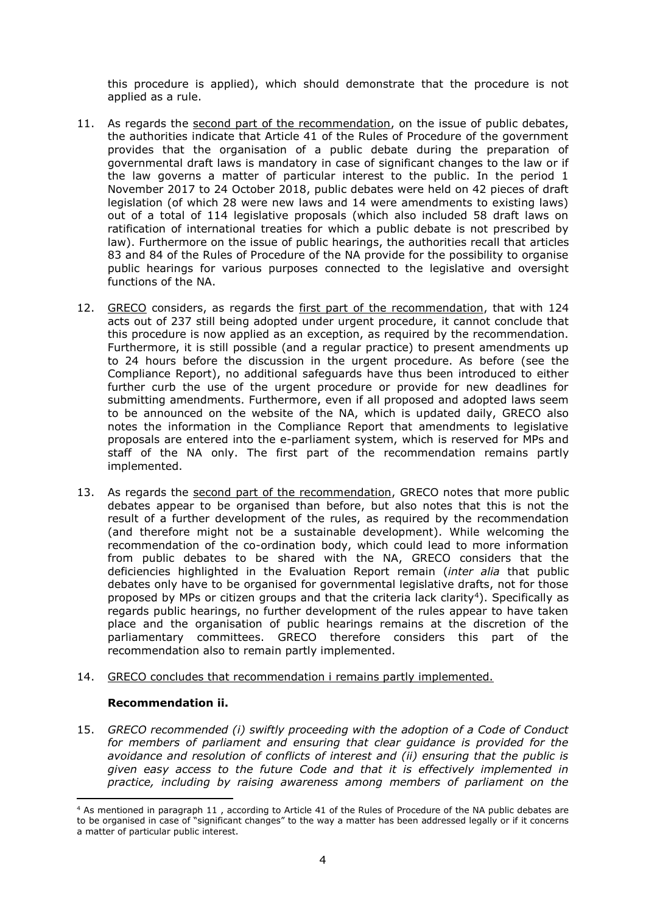this procedure is applied), which should demonstrate that the procedure is not applied as a rule.

- 11. As regards the second part of the recommendation, on the issue of public debates, the authorities indicate that Article 41 of the Rules of Procedure of the government provides that the organisation of a public debate during the preparation of governmental draft laws is mandatory in case of significant changes to the law or if the law governs a matter of particular interest to the public. In the period 1 November 2017 to 24 October 2018, public debates were held on 42 pieces of draft legislation (of which 28 were new laws and 14 were amendments to existing laws) out of a total of 114 legislative proposals (which also included 58 draft laws on ratification of international treaties for which a public debate is not prescribed by law). Furthermore on the issue of public hearings, the authorities recall that articles 83 and 84 of the Rules of Procedure of the NA provide for the possibility to organise public hearings for various purposes connected to the legislative and oversight functions of the NA.
- 12. GRECO considers, as regards the first part of the recommendation, that with 124 acts out of 237 still being adopted under urgent procedure, it cannot conclude that this procedure is now applied as an exception, as required by the recommendation. Furthermore, it is still possible (and a regular practice) to present amendments up to 24 hours before the discussion in the urgent procedure. As before (see the Compliance Report), no additional safeguards have thus been introduced to either further curb the use of the urgent procedure or provide for new deadlines for submitting amendments. Furthermore, even if all proposed and adopted laws seem to be announced on the website of the NA, which is updated daily, GRECO also notes the information in the Compliance Report that amendments to legislative proposals are entered into the e-parliament system, which is reserved for MPs and staff of the NA only. The first part of the recommendation remains partly implemented.
- 13. As regards the second part of the recommendation, GRECO notes that more public debates appear to be organised than before, but also notes that this is not the result of a further development of the rules, as required by the recommendation (and therefore might not be a sustainable development). While welcoming the recommendation of the co-ordination body, which could lead to more information from public debates to be shared with the NA, GRECO considers that the deficiencies highlighted in the Evaluation Report remain (*inter alia* that public debates only have to be organised for governmental legislative drafts, not for those proposed by MPs or citizen groups and that the criteria lack clarity<sup>4</sup>). Specifically as regards public hearings, no further development of the rules appear to have taken place and the organisation of public hearings remains at the discretion of the parliamentary committees. GRECO therefore considers this part of the recommendation also to remain partly implemented.
- 14. GRECO concludes that recommendation i remains partly implemented.

#### **Recommendation ii.**

 $\overline{\phantom{a}}$ 

15. *GRECO recommended (i) swiftly proceeding with the adoption of a Code of Conduct for members of parliament and ensuring that clear guidance is provided for the avoidance and resolution of conflicts of interest and (ii) ensuring that the public is given easy access to the future Code and that it is effectively implemented in practice, including by raising awareness among members of parliament on the* 

<sup>4</sup> As mentioned in paragraph 11 , according to Article 41 of the Rules of Procedure of the NA public debates are to be organised in case of "significant changes" to the way a matter has been addressed legally or if it concerns a matter of particular public interest.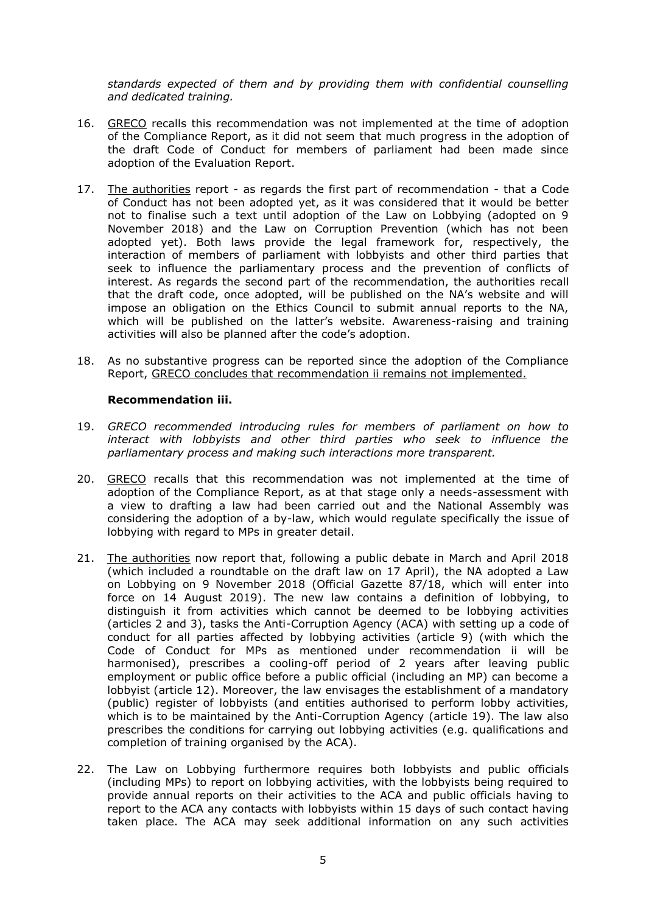*standards expected of them and by providing them with confidential counselling and dedicated training.*

- 16. GRECO recalls this recommendation was not implemented at the time of adoption of the Compliance Report, as it did not seem that much progress in the adoption of the draft Code of Conduct for members of parliament had been made since adoption of the Evaluation Report.
- 17. The authorities report as regards the first part of recommendation that a Code of Conduct has not been adopted yet, as it was considered that it would be better not to finalise such a text until adoption of the Law on Lobbying (adopted on 9 November 2018) and the Law on Corruption Prevention (which has not been adopted yet). Both laws provide the legal framework for, respectively, the interaction of members of parliament with lobbyists and other third parties that seek to influence the parliamentary process and the prevention of conflicts of interest. As regards the second part of the recommendation, the authorities recall that the draft code, once adopted, will be published on the NA's website and will impose an obligation on the Ethics Council to submit annual reports to the NA, which will be published on the latter's website. Awareness-raising and training activities will also be planned after the code's adoption.
- 18. As no substantive progress can be reported since the adoption of the Compliance Report, GRECO concludes that recommendation ii remains not implemented.

#### **Recommendation iii.**

- 19. *GRECO recommended introducing rules for members of parliament on how to interact with lobbyists and other third parties who seek to influence the parliamentary process and making such interactions more transparent.*
- 20. GRECO recalls that this recommendation was not implemented at the time of adoption of the Compliance Report, as at that stage only a needs-assessment with a view to drafting a law had been carried out and the National Assembly was considering the adoption of a by-law, which would regulate specifically the issue of lobbying with regard to MPs in greater detail.
- 21. The authorities now report that, following a public debate in March and April 2018 (which included a roundtable on the draft law on 17 April), the NA adopted a Law on Lobbying on 9 November 2018 (Official Gazette 87/18, which will enter into force on 14 August 2019). The new law contains a definition of lobbying, to distinguish it from activities which cannot be deemed to be lobbying activities (articles 2 and 3), tasks the Anti-Corruption Agency (ACA) with setting up a code of conduct for all parties affected by lobbying activities (article 9) (with which the Code of Conduct for MPs as mentioned under recommendation ii will be harmonised), prescribes a cooling-off period of 2 years after leaving public employment or public office before a public official (including an MP) can become a lobbyist (article 12). Moreover, the law envisages the establishment of a mandatory (public) register of lobbyists (and entities authorised to perform lobby activities, which is to be maintained by the Anti-Corruption Agency (article 19). The law also prescribes the conditions for carrying out lobbying activities (e.g. qualifications and completion of training organised by the ACA).
- 22. The Law on Lobbying furthermore requires both lobbyists and public officials (including MPs) to report on lobbying activities, with the lobbyists being required to provide annual reports on their activities to the ACA and public officials having to report to the ACA any contacts with lobbyists within 15 days of such contact having taken place. The ACA may seek additional information on any such activities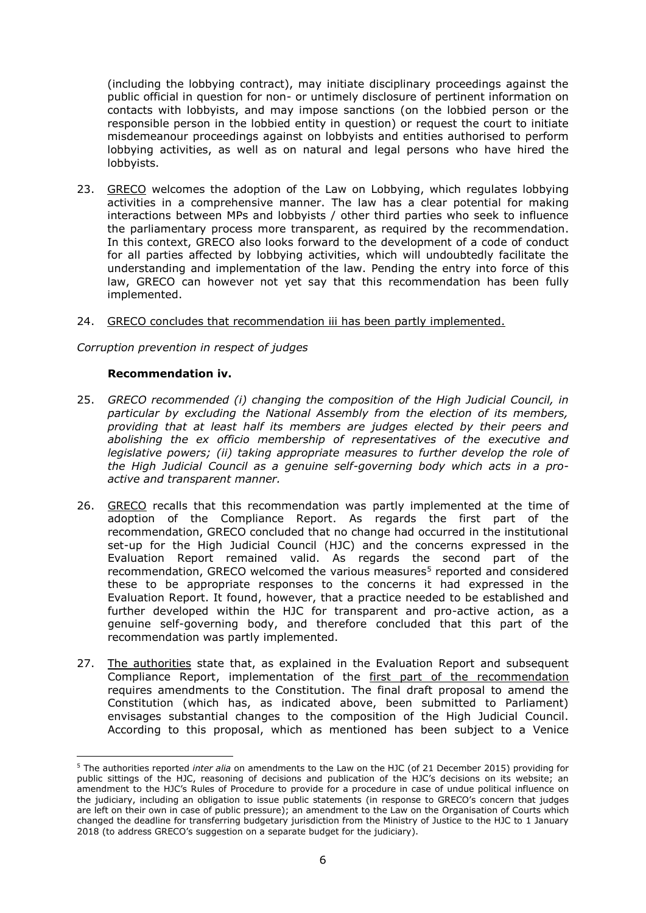(including the lobbying contract), may initiate disciplinary proceedings against the public official in question for non- or untimely disclosure of pertinent information on contacts with lobbyists, and may impose sanctions (on the lobbied person or the responsible person in the lobbied entity in question) or request the court to initiate misdemeanour proceedings against on lobbyists and entities authorised to perform lobbying activities, as well as on natural and legal persons who have hired the lobbyists.

23. GRECO welcomes the adoption of the Law on Lobbying, which regulates lobbying activities in a comprehensive manner. The law has a clear potential for making interactions between MPs and lobbyists / other third parties who seek to influence the parliamentary process more transparent, as required by the recommendation. In this context, GRECO also looks forward to the development of a code of conduct for all parties affected by lobbying activities, which will undoubtedly facilitate the understanding and implementation of the law. Pending the entry into force of this law, GRECO can however not yet say that this recommendation has been fully implemented.

#### 24. GRECO concludes that recommendation iii has been partly implemented.

*Corruption prevention in respect of judges*

#### **Recommendation iv.**

- 25. *GRECO recommended (i) changing the composition of the High Judicial Council, in particular by excluding the National Assembly from the election of its members, providing that at least half its members are judges elected by their peers and abolishing the ex officio membership of representatives of the executive and legislative powers; (ii) taking appropriate measures to further develop the role of the High Judicial Council as a genuine self-governing body which acts in a proactive and transparent manner.*
- 26. GRECO recalls that this recommendation was partly implemented at the time of adoption of the Compliance Report. As regards the first part of the recommendation, GRECO concluded that no change had occurred in the institutional set-up for the High Judicial Council (HJC) and the concerns expressed in the Evaluation Report remained valid. As regards the second part of the recommendation, GRECO welcomed the various measures<sup>5</sup> reported and considered these to be appropriate responses to the concerns it had expressed in the Evaluation Report. It found, however, that a practice needed to be established and further developed within the HJC for transparent and pro-active action, as a genuine self-governing body, and therefore concluded that this part of the recommendation was partly implemented.
- 27. The authorities state that, as explained in the Evaluation Report and subsequent Compliance Report, implementation of the first part of the recommendation requires amendments to the Constitution. The final draft proposal to amend the Constitution (which has, as indicated above, been submitted to Parliament) envisages substantial changes to the composition of the High Judicial Council. According to this proposal, which as mentioned has been subject to a Venice

<sup>5</sup> The authorities reported *inter alia* on amendments to the Law on the HJC (of 21 December 2015) providing for public sittings of the HJC, reasoning of decisions and publication of the HJC's decisions on its website; an amendment to the HJC's Rules of Procedure to provide for a procedure in case of undue political influence on the judiciary, including an obligation to issue public statements (in response to GRECO's concern that judges are left on their own in case of public pressure); an amendment to the Law on the Organisation of Courts which changed the deadline for transferring budgetary jurisdiction from the Ministry of Justice to the HJC to 1 January 2018 (to address GRECO's suggestion on a separate budget for the judiciary).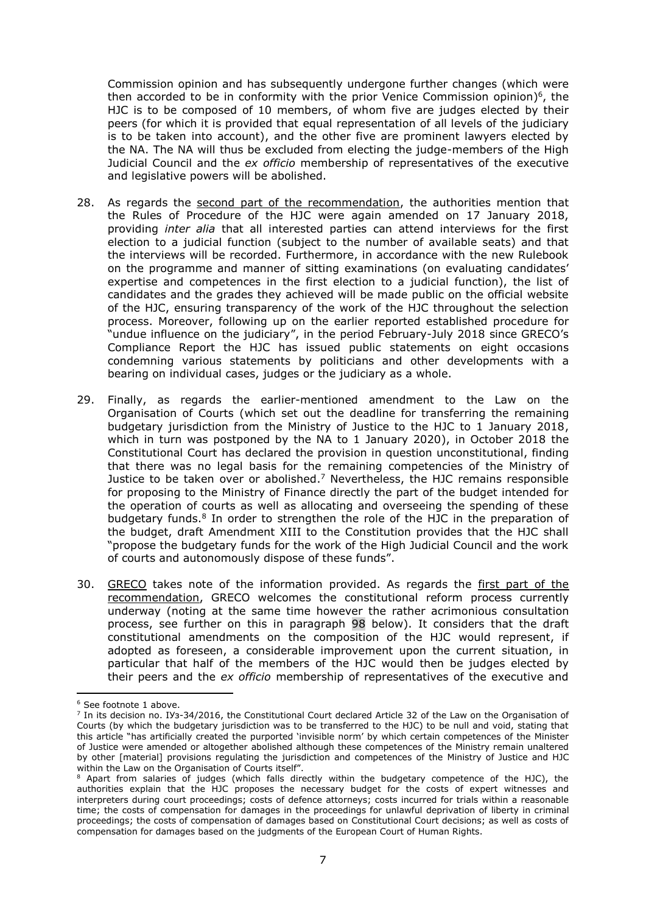Commission opinion and has subsequently undergone further changes (which were then accorded to be in conformity with the prior Venice Commission opinion) 6 , the HJC is to be composed of 10 members, of whom five are judges elected by their peers (for which it is provided that equal representation of all levels of the judiciary is to be taken into account), and the other five are prominent lawyers elected by the NA. The NA will thus be excluded from electing the judge-members of the High Judicial Council and the *ex officio* membership of representatives of the executive and legislative powers will be abolished.

- 28. As regards the second part of the recommendation, the authorities mention that the Rules of Procedure of the HJC were again amended on 17 January 2018, providing *inter alia* that all interested parties can attend interviews for the first election to a judicial function (subject to the number of available seats) and that the interviews will be recorded. Furthermore, in accordance with the new Rulebook on the programme and manner of sitting examinations (on evaluating candidates' expertise and competences in the first election to a judicial function), the list of candidates and the grades they achieved will be made public on the official website of the HJC, ensuring transparency of the work of the HJC throughout the selection process. Moreover, following up on the earlier reported established procedure for "undue influence on the judiciary", in the period February-July 2018 since GRECO's Compliance Report the HJC has issued public statements on eight occasions condemning various statements by politicians and other developments with a bearing on individual cases, judges or the judiciary as a whole.
- 29. Finally, as regards the earlier-mentioned amendment to the Law on the Organisation of Courts (which set out the deadline for transferring the remaining budgetary jurisdiction from the Ministry of Justice to the HJC to 1 January 2018, which in turn was postponed by the NA to 1 January 2020), in October 2018 the Constitutional Court has declared the provision in question unconstitutional, finding that there was no legal basis for the remaining competencies of the Ministry of Justice to be taken over or abolished. <sup>7</sup> Nevertheless, the HJC remains responsible for proposing to the Ministry of Finance directly the part of the budget intended for the operation of courts as well as allocating and overseeing the spending of these budgetary funds.<sup>8</sup> In order to strengthen the role of the HJC in the preparation of the budget, draft Amendment XIII to the Constitution provides that the HJC shall "propose the budgetary funds for the work of the High Judicial Council and the work of courts and autonomously dispose of these funds".
- 30. GRECO takes note of the information provided. As regards the first part of the recommendation, GRECO welcomes the constitutional reform process currently underway (noting at the same time however the rather acrimonious consultation process, see further on this in paragraph 98 below). It considers that the draft constitutional amendments on the composition of the HJC would represent, if adopted as foreseen, a considerable improvement upon the current situation, in particular that half of the members of the HJC would then be judges elected by their peers and the *ex officio* membership of representatives of the executive and

<sup>6</sup> See footnote 1 above.

<sup>7</sup> In its decision no. IУз-34/2016, the Constitutional Court declared Article 32 of the Law on the Organisation of Courts (by which the budgetary jurisdiction was to be transferred to the HJC) to be null and void, stating that this article "has artificially created the purported 'invisible norm' by which certain competences of the Minister of Justice were amended or altogether abolished although these competences of the Ministry remain unaltered by other [material] provisions regulating the jurisdiction and competences of the Ministry of Justice and HJC within the Law on the Organisation of Courts itself".

<sup>8</sup> Apart from salaries of judges (which falls directly within the budgetary competence of the HJC), the authorities explain that the HJC proposes the necessary budget for the costs of expert witnesses and interpreters during court proceedings; costs of defence attorneys; costs incurred for trials within a reasonable time; the costs of compensation for damages in the proceedings for unlawful deprivation of liberty in criminal proceedings; the costs of compensation of damages based on Constitutional Court decisions; as well as costs of compensation for damages based on the judgments of the European Court of Human Rights.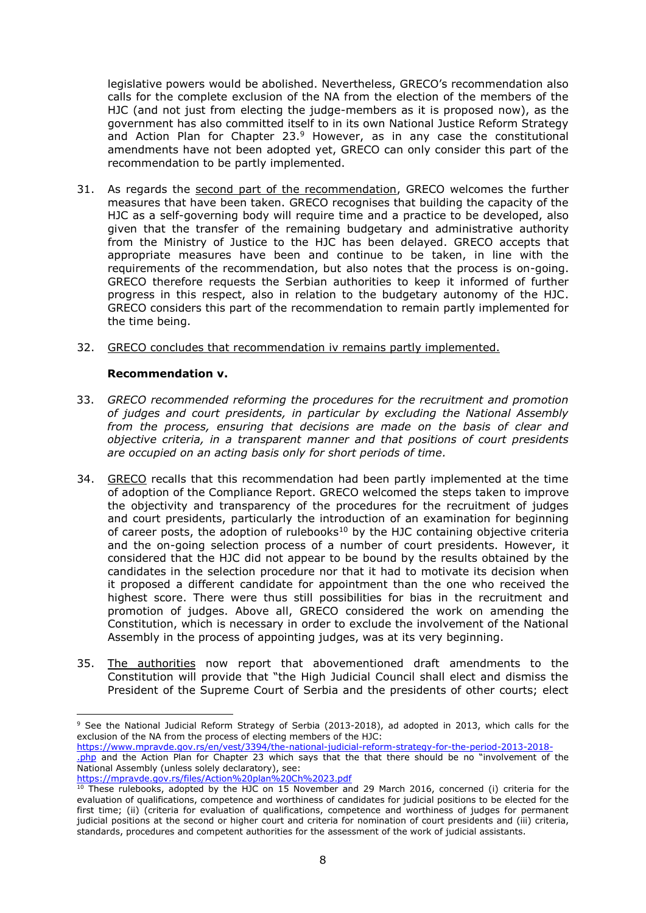legislative powers would be abolished. Nevertheless, GRECO's recommendation also calls for the complete exclusion of the NA from the election of the members of the HJC (and not just from electing the judge-members as it is proposed now), as the government has also committed itself to in its own National Justice Reform Strategy and Action Plan for Chapter 23. <sup>9</sup> However, as in any case the constitutional amendments have not been adopted yet, GRECO can only consider this part of the recommendation to be partly implemented.

- 31. As regards the second part of the recommendation, GRECO welcomes the further measures that have been taken. GRECO recognises that building the capacity of the HJC as a self-governing body will require time and a practice to be developed, also given that the transfer of the remaining budgetary and administrative authority from the Ministry of Justice to the HJC has been delayed. GRECO accepts that appropriate measures have been and continue to be taken, in line with the requirements of the recommendation, but also notes that the process is on-going. GRECO therefore requests the Serbian authorities to keep it informed of further progress in this respect, also in relation to the budgetary autonomy of the HJC. GRECO considers this part of the recommendation to remain partly implemented for the time being.
- 32. GRECO concludes that recommendation iv remains partly implemented.

#### **Recommendation v.**

- 33. *GRECO recommended reforming the procedures for the recruitment and promotion of judges and court presidents, in particular by excluding the National Assembly from the process, ensuring that decisions are made on the basis of clear and objective criteria, in a transparent manner and that positions of court presidents are occupied on an acting basis only for short periods of time.*
- 34. GRECO recalls that this recommendation had been partly implemented at the time of adoption of the Compliance Report. GRECO welcomed the steps taken to improve the objectivity and transparency of the procedures for the recruitment of judges and court presidents, particularly the introduction of an examination for beginning of career posts, the adoption of rulebooks<sup>10</sup> by the HJC containing objective criteria and the on-going selection process of a number of court presidents. However, it considered that the HJC did not appear to be bound by the results obtained by the candidates in the selection procedure nor that it had to motivate its decision when it proposed a different candidate for appointment than the one who received the highest score. There were thus still possibilities for bias in the recruitment and promotion of judges. Above all, GRECO considered the work on amending the Constitution, which is necessary in order to exclude the involvement of the National Assembly in the process of appointing judges, was at its very beginning.
- 35. The authorities now report that abovementioned draft amendments to the Constitution will provide that "the High Judicial Council shall elect and dismiss the President of the Supreme Court of Serbia and the presidents of other courts; elect

[https://www.mpravde.gov.rs/en/vest/3394/the-national-judicial-reform-strategy-for-the-period-2013-2018-](https://www.mpravde.gov.rs/en/vest/3394/the-national-judicial-reform-strategy-for-the-period-2013-2018-.php)

<https://mpravde.gov.rs/files/Action%20plan%20Ch%2023.pdf>

 $\overline{a}$ <sup>9</sup> See the National Judicial Reform Strategy of Serbia (2013-2018), ad adopted in 2013, which calls for the exclusion of the NA from the process of electing members of the HJC:

[<sup>.</sup>php](https://www.mpravde.gov.rs/en/vest/3394/the-national-judicial-reform-strategy-for-the-period-2013-2018-.php) and the Action Plan for Chapter 23 which says that the that there should be no "involvement of the National Assembly (unless solely declaratory), see:

<sup>&</sup>lt;sup>10</sup> These rulebooks, adopted by the HJC on 15 November and 29 March 2016, concerned (i) criteria for the evaluation of qualifications, competence and worthiness of candidates for judicial positions to be elected for the first time; (ii) (criteria for evaluation of qualifications, competence and worthiness of judges for permanent judicial positions at the second or higher court and criteria for nomination of court presidents and (iii) criteria, standards, procedures and competent authorities for the assessment of the work of judicial assistants.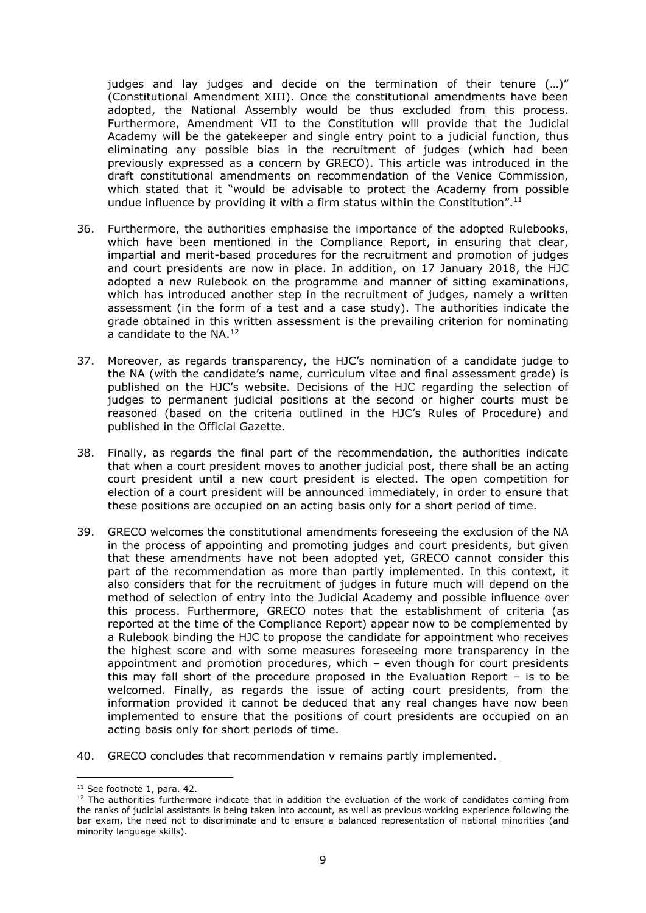judges and lay judges and decide on the termination of their tenure (…)" (Constitutional Amendment XIII). Once the constitutional amendments have been adopted, the National Assembly would be thus excluded from this process. Furthermore, Amendment VII to the Constitution will provide that the Judicial Academy will be the gatekeeper and single entry point to a judicial function, thus eliminating any possible bias in the recruitment of judges (which had been previously expressed as a concern by GRECO). This article was introduced in the draft constitutional amendments on recommendation of the Venice Commission, which stated that it "would be advisable to protect the Academy from possible undue influence by providing it with a firm status within the Constitution".<sup>11</sup>

- 36. Furthermore, the authorities emphasise the importance of the adopted Rulebooks, which have been mentioned in the Compliance Report, in ensuring that clear, impartial and merit-based procedures for the recruitment and promotion of judges and court presidents are now in place. In addition, on 17 January 2018, the HJC adopted a new Rulebook on the programme and manner of sitting examinations, which has introduced another step in the recruitment of judges, namely a written assessment (in the form of a test and a case study). The authorities indicate the grade obtained in this written assessment is the prevailing criterion for nominating a candidate to the NA. 12
- 37. Moreover, as regards transparency, the HJC's nomination of a candidate judge to the NA (with the candidate's name, curriculum vitae and final assessment grade) is published on the HJC's website. Decisions of the HJC regarding the selection of judges to permanent judicial positions at the second or higher courts must be reasoned (based on the criteria outlined in the HJC's Rules of Procedure) and published in the Official Gazette.
- 38. Finally, as regards the final part of the recommendation, the authorities indicate that when a court president moves to another judicial post, there shall be an acting court president until a new court president is elected. The open competition for election of a court president will be announced immediately, in order to ensure that these positions are occupied on an acting basis only for a short period of time.
- 39. GRECO welcomes the constitutional amendments foreseeing the exclusion of the NA in the process of appointing and promoting judges and court presidents, but given that these amendments have not been adopted yet, GRECO cannot consider this part of the recommendation as more than partly implemented. In this context, it also considers that for the recruitment of judges in future much will depend on the method of selection of entry into the Judicial Academy and possible influence over this process. Furthermore, GRECO notes that the establishment of criteria (as reported at the time of the Compliance Report) appear now to be complemented by a Rulebook binding the HJC to propose the candidate for appointment who receives the highest score and with some measures foreseeing more transparency in the appointment and promotion procedures, which – even though for court presidents this may fall short of the procedure proposed in the Evaluation Report – is to be welcomed. Finally, as regards the issue of acting court presidents, from the information provided it cannot be deduced that any real changes have now been implemented to ensure that the positions of court presidents are occupied on an acting basis only for short periods of time.
- 40. GRECO concludes that recommendation v remains partly implemented.

 $\overline{\phantom{a}}$ <sup>11</sup> See footnote 1, para. 42.

<sup>&</sup>lt;sup>12</sup> The authorities furthermore indicate that in addition the evaluation of the work of candidates coming from the ranks of judicial assistants is being taken into account, as well as previous working experience following the bar exam, the need not to discriminate and to ensure a balanced representation of national minorities (and minority language skills).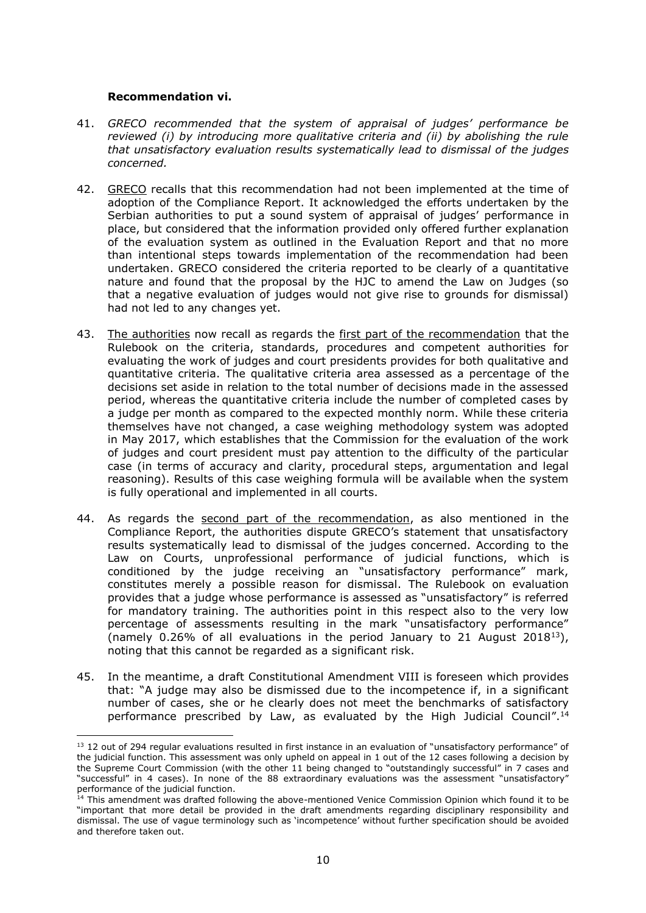#### **Recommendation vi.**

- 41. *GRECO recommended that the system of appraisal of judges' performance be reviewed (i) by introducing more qualitative criteria and (ii) by abolishing the rule that unsatisfactory evaluation results systematically lead to dismissal of the judges concerned.*
- 42. GRECO recalls that this recommendation had not been implemented at the time of adoption of the Compliance Report. It acknowledged the efforts undertaken by the Serbian authorities to put a sound system of appraisal of judges' performance in place, but considered that the information provided only offered further explanation of the evaluation system as outlined in the Evaluation Report and that no more than intentional steps towards implementation of the recommendation had been undertaken. GRECO considered the criteria reported to be clearly of a quantitative nature and found that the proposal by the HJC to amend the Law on Judges (so that a negative evaluation of judges would not give rise to grounds for dismissal) had not led to any changes yet.
- 43. The authorities now recall as regards the first part of the recommendation that the Rulebook on the criteria, standards, procedures and competent authorities for evaluating the work of judges and court presidents provides for both qualitative and quantitative criteria. The qualitative criteria area assessed as a percentage of the decisions set aside in relation to the total number of decisions made in the assessed period, whereas the quantitative criteria include the number of completed cases by a judge per month as compared to the expected monthly norm. While these criteria themselves have not changed, a case weighing methodology system was adopted in May 2017, which establishes that the Commission for the evaluation of the work of judges and court president must pay attention to the difficulty of the particular case (in terms of accuracy and clarity, procedural steps, argumentation and legal reasoning). Results of this case weighing formula will be available when the system is fully operational and implemented in all courts.
- 44. As regards the second part of the recommendation, as also mentioned in the Compliance Report, the authorities dispute GRECO's statement that unsatisfactory results systematically lead to dismissal of the judges concerned. According to the Law on Courts, unprofessional performance of judicial functions, which is conditioned by the judge receiving an "unsatisfactory performance" mark, constitutes merely a possible reason for dismissal. The Rulebook on evaluation provides that a judge whose performance is assessed as "unsatisfactory" is referred for mandatory training. The authorities point in this respect also to the very low percentage of assessments resulting in the mark "unsatisfactory performance" (namely 0.26% of all evaluations in the period January to 21 August 2018<sup>13</sup>), noting that this cannot be regarded as a significant risk.
- 45. In the meantime, a draft Constitutional Amendment VIII is foreseen which provides that: "A judge may also be dismissed due to the incompetence if, in a significant number of cases, she or he clearly does not meet the benchmarks of satisfactory performance prescribed by Law, as evaluated by the High Judicial Council".<sup>14</sup>

<sup>&</sup>lt;sup>13</sup> 12 out of 294 regular evaluations resulted in first instance in an evaluation of "unsatisfactory performance" of the judicial function. This assessment was only upheld on appeal in 1 out of the 12 cases following a decision by the Supreme Court Commission (with the other 11 being changed to "outstandingly successful" in 7 cases and "successful" in 4 cases). In none of the 88 extraordinary evaluations was the assessment "unsatisfactory" performance of the judicial function.

<sup>&</sup>lt;sup>14</sup> This amendment was drafted following the above-mentioned Venice Commission Opinion which found it to be "important that more detail be provided in the draft amendments regarding disciplinary responsibility and dismissal. The use of vague terminology such as 'incompetence' without further specification should be avoided and therefore taken out.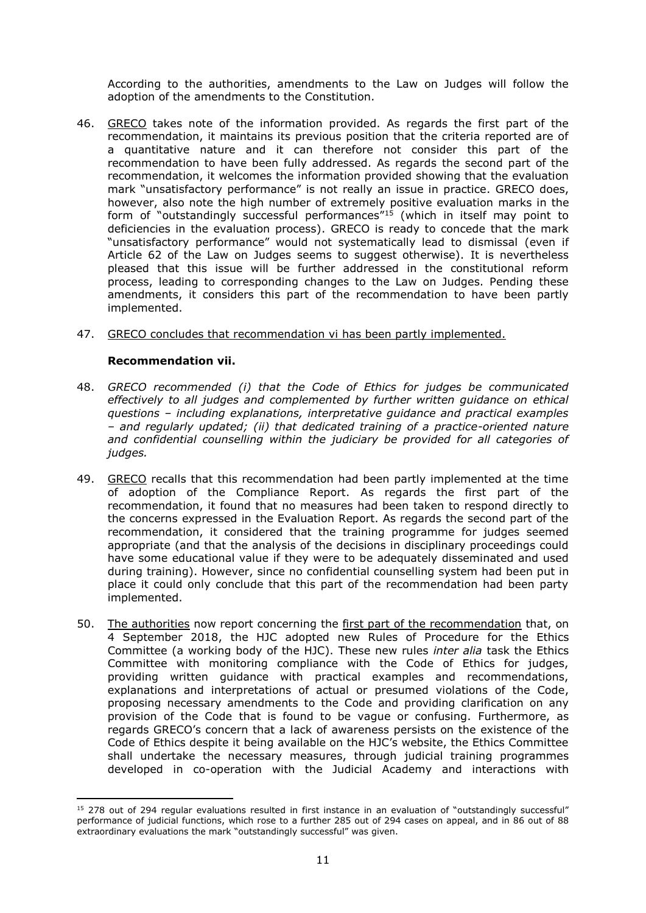According to the authorities, amendments to the Law on Judges will follow the adoption of the amendments to the Constitution.

- 46. GRECO takes note of the information provided. As regards the first part of the recommendation, it maintains its previous position that the criteria reported are of a quantitative nature and it can therefore not consider this part of the recommendation to have been fully addressed. As regards the second part of the recommendation, it welcomes the information provided showing that the evaluation mark "unsatisfactory performance" is not really an issue in practice. GRECO does, however, also note the high number of extremely positive evaluation marks in the form of "outstandingly successful performances"<sup>15</sup> (which in itself may point to deficiencies in the evaluation process). GRECO is ready to concede that the mark "unsatisfactory performance" would not systematically lead to dismissal (even if Article 62 of the Law on Judges seems to suggest otherwise). It is nevertheless pleased that this issue will be further addressed in the constitutional reform process, leading to corresponding changes to the Law on Judges. Pending these amendments, it considers this part of the recommendation to have been partly implemented.
- 47. GRECO concludes that recommendation vi has been partly implemented.

#### **Recommendation vii.**

- 48. *GRECO recommended (i) that the Code of Ethics for judges be communicated effectively to all judges and complemented by further written guidance on ethical questions – including explanations, interpretative guidance and practical examples – and regularly updated; (ii) that dedicated training of a practice-oriented nature*  and confidential counselling within the judiciary be provided for all categories of *judges.*
- 49. GRECO recalls that this recommendation had been partly implemented at the time of adoption of the Compliance Report. As regards the first part of the recommendation, it found that no measures had been taken to respond directly to the concerns expressed in the Evaluation Report. As regards the second part of the recommendation, it considered that the training programme for judges seemed appropriate (and that the analysis of the decisions in disciplinary proceedings could have some educational value if they were to be adequately disseminated and used during training). However, since no confidential counselling system had been put in place it could only conclude that this part of the recommendation had been party implemented.
- 50. The authorities now report concerning the first part of the recommendation that, on 4 September 2018, the HJC adopted new Rules of Procedure for the Ethics Committee (a working body of the HJC). These new rules *inter alia* task the Ethics Committee with monitoring compliance with the Code of Ethics for judges, providing written guidance with practical examples and recommendations, explanations and interpretations of actual or presumed violations of the Code, proposing necessary amendments to the Code and providing clarification on any provision of the Code that is found to be vague or confusing. Furthermore, as regards GRECO's concern that a lack of awareness persists on the existence of the Code of Ethics despite it being available on the HJC's website, the Ethics Committee shall undertake the necessary measures, through judicial training programmes developed in co-operation with the Judicial Academy and interactions with

 $\overline{\phantom{a}}$ <sup>15</sup> 278 out of 294 regular evaluations resulted in first instance in an evaluation of "outstandingly successful" performance of judicial functions, which rose to a further 285 out of 294 cases on appeal, and in 86 out of 88 extraordinary evaluations the mark "outstandingly successful" was given.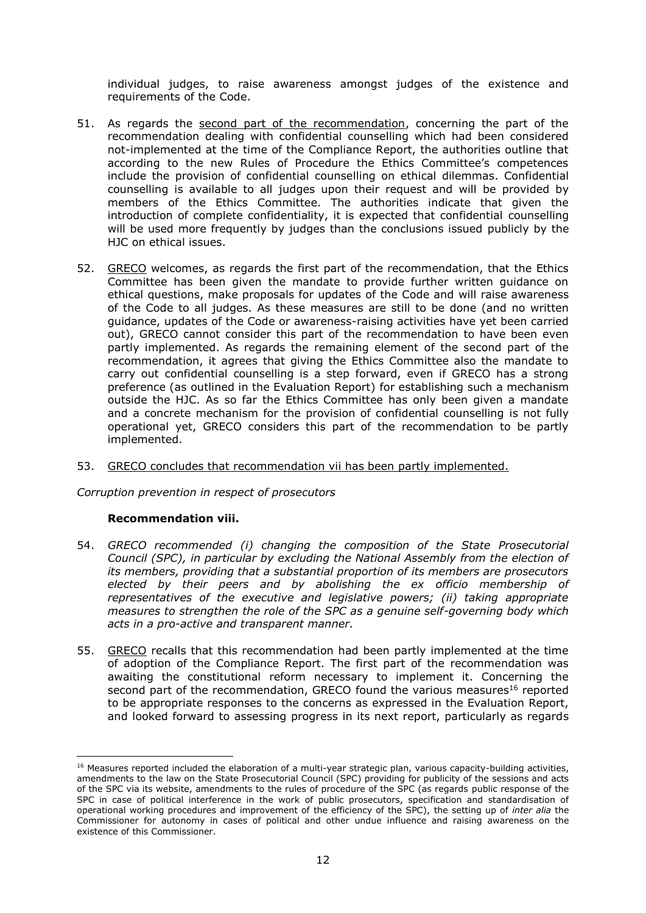individual judges, to raise awareness amongst judges of the existence and requirements of the Code.

- 51. As regards the second part of the recommendation, concerning the part of the recommendation dealing with confidential counselling which had been considered not-implemented at the time of the Compliance Report, the authorities outline that according to the new Rules of Procedure the Ethics Committee's competences include the provision of confidential counselling on ethical dilemmas. Confidential counselling is available to all judges upon their request and will be provided by members of the Ethics Committee. The authorities indicate that given the introduction of complete confidentiality, it is expected that confidential counselling will be used more frequently by judges than the conclusions issued publicly by the HJC on ethical issues.
- 52. GRECO welcomes, as regards the first part of the recommendation, that the Ethics Committee has been given the mandate to provide further written guidance on ethical questions, make proposals for updates of the Code and will raise awareness of the Code to all judges. As these measures are still to be done (and no written guidance, updates of the Code or awareness-raising activities have yet been carried out), GRECO cannot consider this part of the recommendation to have been even partly implemented. As regards the remaining element of the second part of the recommendation, it agrees that giving the Ethics Committee also the mandate to carry out confidential counselling is a step forward, even if GRECO has a strong preference (as outlined in the Evaluation Report) for establishing such a mechanism outside the HJC. As so far the Ethics Committee has only been given a mandate and a concrete mechanism for the provision of confidential counselling is not fully operational yet, GRECO considers this part of the recommendation to be partly implemented.

#### 53. GRECO concludes that recommendation vii has been partly implemented.

*Corruption prevention in respect of prosecutors*

#### **Recommendation viii.**

- 54. *GRECO recommended (i) changing the composition of the State Prosecutorial Council (SPC), in particular by excluding the National Assembly from the election of its members, providing that a substantial proportion of its members are prosecutors elected by their peers and by abolishing the ex officio membership of representatives of the executive and legislative powers; (ii) taking appropriate measures to strengthen the role of the SPC as a genuine self-governing body which acts in a pro-active and transparent manner.*
- 55. GRECO recalls that this recommendation had been partly implemented at the time of adoption of the Compliance Report. The first part of the recommendation was awaiting the constitutional reform necessary to implement it. Concerning the second part of the recommendation, GRECO found the various measures<sup>16</sup> reported to be appropriate responses to the concerns as expressed in the Evaluation Report, and looked forward to assessing progress in its next report, particularly as regards

<sup>&</sup>lt;sup>16</sup> Measures reported included the elaboration of a multi-year strategic plan, various capacity-building activities, amendments to the law on the State Prosecutorial Council (SPC) providing for publicity of the sessions and acts of the SPC via its website, amendments to the rules of procedure of the SPC (as regards public response of the SPC in case of political interference in the work of public prosecutors, specification and standardisation of operational working procedures and improvement of the efficiency of the SPC), the setting up of *inter alia* the Commissioner for autonomy in cases of political and other undue influence and raising awareness on the existence of this Commissioner.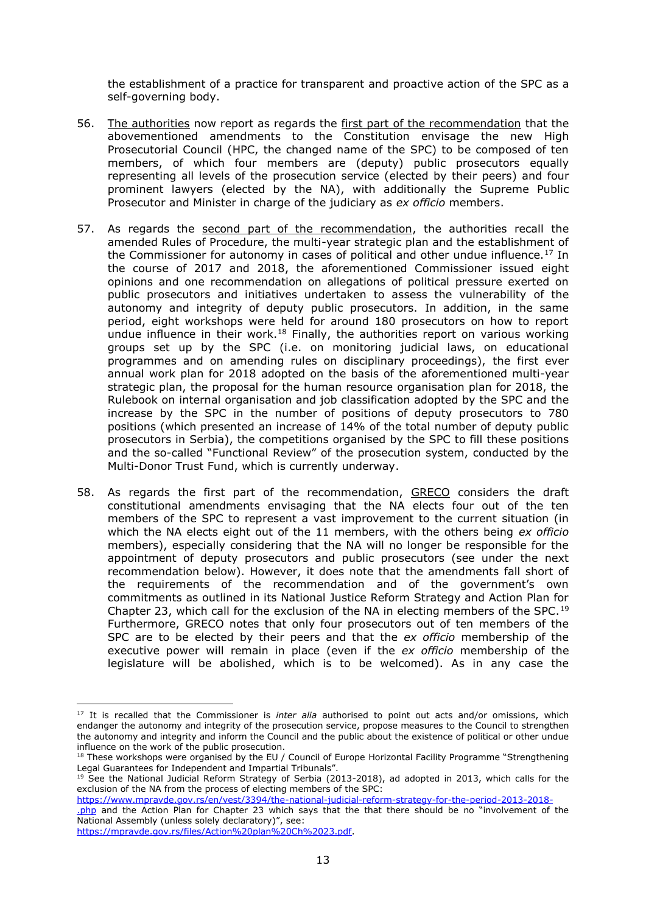the establishment of a practice for transparent and proactive action of the SPC as a self-governing body.

- 56. The authorities now report as regards the first part of the recommendation that the abovementioned amendments to the Constitution envisage the new High Prosecutorial Council (HPC, the changed name of the SPC) to be composed of ten members, of which four members are (deputy) public prosecutors equally representing all levels of the prosecution service (elected by their peers) and four prominent lawyers (elected by the NA), with additionally the Supreme Public Prosecutor and Minister in charge of the judiciary as *ex officio* members.
- 57. As regards the second part of the recommendation, the authorities recall the amended Rules of Procedure, the multi-year strategic plan and the establishment of the Commissioner for autonomy in cases of political and other undue influence.<sup>17</sup> In the course of 2017 and 2018, the aforementioned Commissioner issued eight opinions and one recommendation on allegations of political pressure exerted on public prosecutors and initiatives undertaken to assess the vulnerability of the autonomy and integrity of deputy public prosecutors. In addition, in the same period, eight workshops were held for around 180 prosecutors on how to report undue influence in their work.<sup>18</sup> Finally, the authorities report on various working groups set up by the SPC (i.e. on monitoring judicial laws, on educational programmes and on amending rules on disciplinary proceedings), the first ever annual work plan for 2018 adopted on the basis of the aforementioned multi-year strategic plan, the proposal for the human resource organisation plan for 2018, the Rulebook on internal organisation and job classification adopted by the SPC and the increase by the SPC in the number of positions of deputy prosecutors to 780 positions (which presented an increase of 14% of the total number of deputy public prosecutors in Serbia), the competitions organised by the SPC to fill these positions and the so-called "Functional Review" of the prosecution system, conducted by the Multi-Donor Trust Fund, which is currently underway.
- 58. As regards the first part of the recommendation, GRECO considers the draft constitutional amendments envisaging that the NA elects four out of the ten members of the SPC to represent a vast improvement to the current situation (in which the NA elects eight out of the 11 members, with the others being *ex officio* members), especially considering that the NA will no longer be responsible for the appointment of deputy prosecutors and public prosecutors (see under the next recommendation below). However, it does note that the amendments fall short of the requirements of the recommendation and of the government's own commitments as outlined in its National Justice Reform Strategy and Action Plan for Chapter 23, which call for the exclusion of the NA in electing members of the SPC.<sup>19</sup> Furthermore, GRECO notes that only four prosecutors out of ten members of the SPC are to be elected by their peers and that the *ex officio* membership of the executive power will remain in place (even if the *ex officio* membership of the legislature will be abolished, which is to be welcomed). As in any case the

[https://www.mpravde.gov.rs/en/vest/3394/the-national-judicial-reform-strategy-for-the-period-2013-2018-](https://www.mpravde.gov.rs/en/vest/3394/the-national-judicial-reform-strategy-for-the-period-2013-2018-.php) [.php](https://www.mpravde.gov.rs/en/vest/3394/the-national-judicial-reform-strategy-for-the-period-2013-2018-.php) and the Action Plan for Chapter 23 which says that the that there should be no "involvement of the National Assembly (unless solely declaratory)", see:

<sup>17</sup> It is recalled that the Commissioner is *inter alia* authorised to point out acts and/or omissions, which endanger the autonomy and integrity of the prosecution service, propose measures to the Council to strengthen the autonomy and integrity and inform the Council and the public about the existence of political or other undue influence on the work of the public prosecution.

<sup>&</sup>lt;sup>18</sup> These workshops were organised by the EU / Council of Europe Horizontal Facility Programme "Strengthening Legal Guarantees for Independent and Impartial Tribunals".

<sup>&</sup>lt;sup>19</sup> See the National Judicial Reform Strategy of Serbia (2013-2018), ad adopted in 2013, which calls for the exclusion of the NA from the process of electing members of the SPC: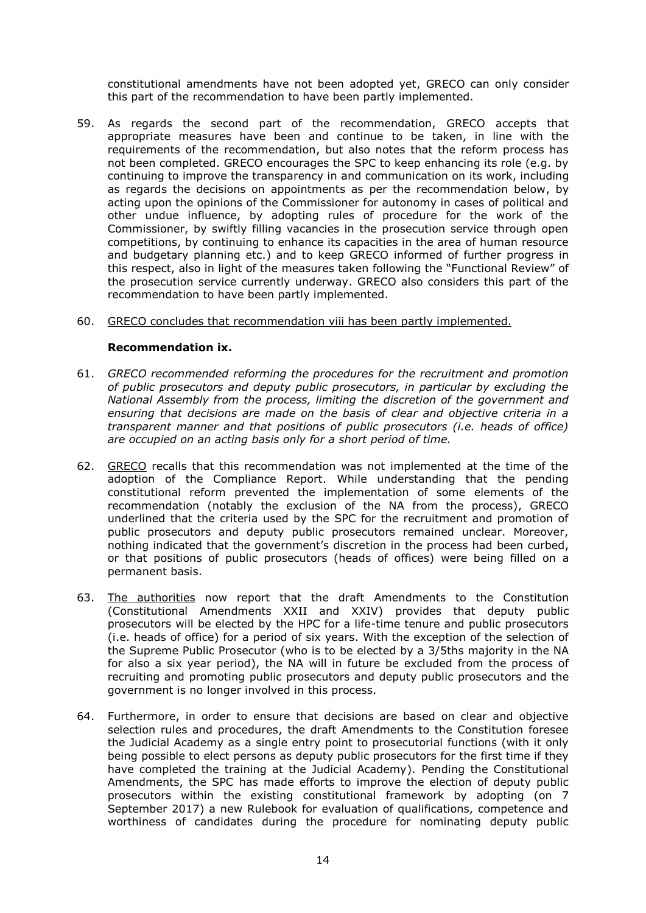constitutional amendments have not been adopted yet, GRECO can only consider this part of the recommendation to have been partly implemented.

- 59. As regards the second part of the recommendation, GRECO accepts that appropriate measures have been and continue to be taken, in line with the requirements of the recommendation, but also notes that the reform process has not been completed. GRECO encourages the SPC to keep enhancing its role (e.g. by continuing to improve the transparency in and communication on its work, including as regards the decisions on appointments as per the recommendation below, by acting upon the opinions of the Commissioner for autonomy in cases of political and other undue influence, by adopting rules of procedure for the work of the Commissioner, by swiftly filling vacancies in the prosecution service through open competitions, by continuing to enhance its capacities in the area of human resource and budgetary planning etc.) and to keep GRECO informed of further progress in this respect, also in light of the measures taken following the "Functional Review" of the prosecution service currently underway. GRECO also considers this part of the recommendation to have been partly implemented.
- 60. GRECO concludes that recommendation viii has been partly implemented.

#### **Recommendation ix.**

- 61. *GRECO recommended reforming the procedures for the recruitment and promotion of public prosecutors and deputy public prosecutors, in particular by excluding the National Assembly from the process, limiting the discretion of the government and ensuring that decisions are made on the basis of clear and objective criteria in a transparent manner and that positions of public prosecutors (i.e. heads of office) are occupied on an acting basis only for a short period of time.*
- 62. GRECO recalls that this recommendation was not implemented at the time of the adoption of the Compliance Report. While understanding that the pending constitutional reform prevented the implementation of some elements of the recommendation (notably the exclusion of the NA from the process), GRECO underlined that the criteria used by the SPC for the recruitment and promotion of public prosecutors and deputy public prosecutors remained unclear. Moreover, nothing indicated that the government's discretion in the process had been curbed, or that positions of public prosecutors (heads of offices) were being filled on a permanent basis.
- 63. The authorities now report that the draft Amendments to the Constitution (Constitutional Amendments XXII and XXIV) provides that deputy public prosecutors will be elected by the HPC for a life-time tenure and public prosecutors (i.e. heads of office) for a period of six years. With the exception of the selection of the Supreme Public Prosecutor (who is to be elected by a 3/5ths majority in the NA for also a six year period), the NA will in future be excluded from the process of recruiting and promoting public prosecutors and deputy public prosecutors and the government is no longer involved in this process.
- 64. Furthermore, in order to ensure that decisions are based on clear and objective selection rules and procedures, the draft Amendments to the Constitution foresee the Judicial Academy as a single entry point to prosecutorial functions (with it only being possible to elect persons as deputy public prosecutors for the first time if they have completed the training at the Judicial Academy). Pending the Constitutional Amendments, the SPC has made efforts to improve the election of deputy public prosecutors within the existing constitutional framework by adopting (on 7 September 2017) a new Rulebook for evaluation of qualifications, competence and worthiness of candidates during the procedure for nominating deputy public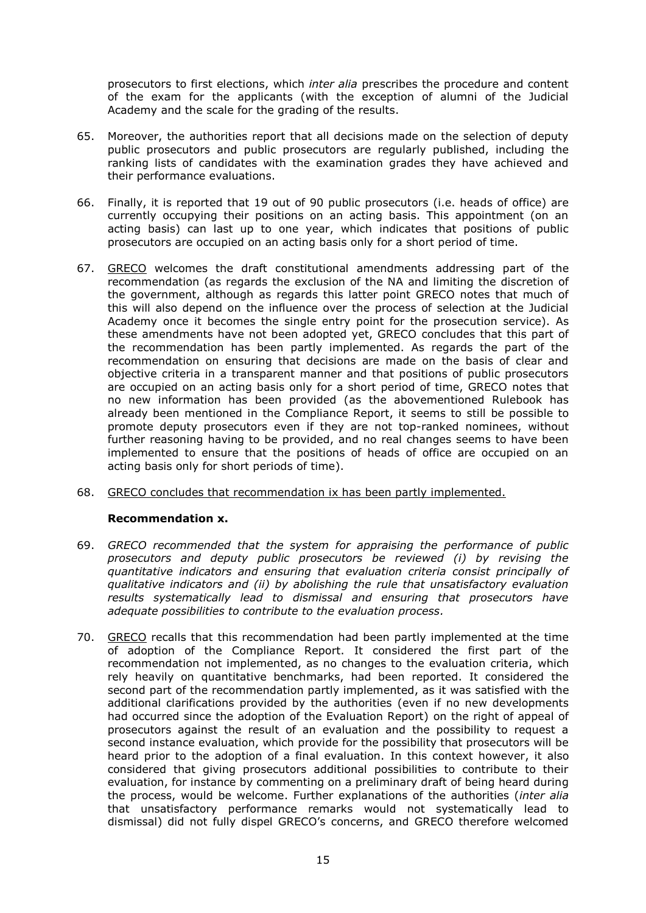prosecutors to first elections, which *inter alia* prescribes the procedure and content of the exam for the applicants (with the exception of alumni of the Judicial Academy and the scale for the grading of the results.

- 65. Moreover, the authorities report that all decisions made on the selection of deputy public prosecutors and public prosecutors are regularly published, including the ranking lists of candidates with the examination grades they have achieved and their performance evaluations.
- 66. Finally, it is reported that 19 out of 90 public prosecutors (i.e. heads of office) are currently occupying their positions on an acting basis. This appointment (on an acting basis) can last up to one year, which indicates that positions of public prosecutors are occupied on an acting basis only for a short period of time.
- 67. GRECO welcomes the draft constitutional amendments addressing part of the recommendation (as regards the exclusion of the NA and limiting the discretion of the government, although as regards this latter point GRECO notes that much of this will also depend on the influence over the process of selection at the Judicial Academy once it becomes the single entry point for the prosecution service). As these amendments have not been adopted yet, GRECO concludes that this part of the recommendation has been partly implemented. As regards the part of the recommendation on ensuring that decisions are made on the basis of clear and objective criteria in a transparent manner and that positions of public prosecutors are occupied on an acting basis only for a short period of time, GRECO notes that no new information has been provided (as the abovementioned Rulebook has already been mentioned in the Compliance Report, it seems to still be possible to promote deputy prosecutors even if they are not top-ranked nominees, without further reasoning having to be provided, and no real changes seems to have been implemented to ensure that the positions of heads of office are occupied on an acting basis only for short periods of time).
- 68. GRECO concludes that recommendation ix has been partly implemented.

#### **Recommendation x.**

- 69. *GRECO recommended that the system for appraising the performance of public prosecutors and deputy public prosecutors be reviewed (i) by revising the quantitative indicators and ensuring that evaluation criteria consist principally of qualitative indicators and (ii) by abolishing the rule that unsatisfactory evaluation results systematically lead to dismissal and ensuring that prosecutors have adequate possibilities to contribute to the evaluation process.*
- 70. GRECO recalls that this recommendation had been partly implemented at the time of adoption of the Compliance Report. It considered the first part of the recommendation not implemented, as no changes to the evaluation criteria, which rely heavily on quantitative benchmarks, had been reported. It considered the second part of the recommendation partly implemented, as it was satisfied with the additional clarifications provided by the authorities (even if no new developments had occurred since the adoption of the Evaluation Report) on the right of appeal of prosecutors against the result of an evaluation and the possibility to request a second instance evaluation, which provide for the possibility that prosecutors will be heard prior to the adoption of a final evaluation. In this context however, it also considered that giving prosecutors additional possibilities to contribute to their evaluation, for instance by commenting on a preliminary draft of being heard during the process, would be welcome. Further explanations of the authorities (*inter alia* that unsatisfactory performance remarks would not systematically lead to dismissal) did not fully dispel GRECO's concerns, and GRECO therefore welcomed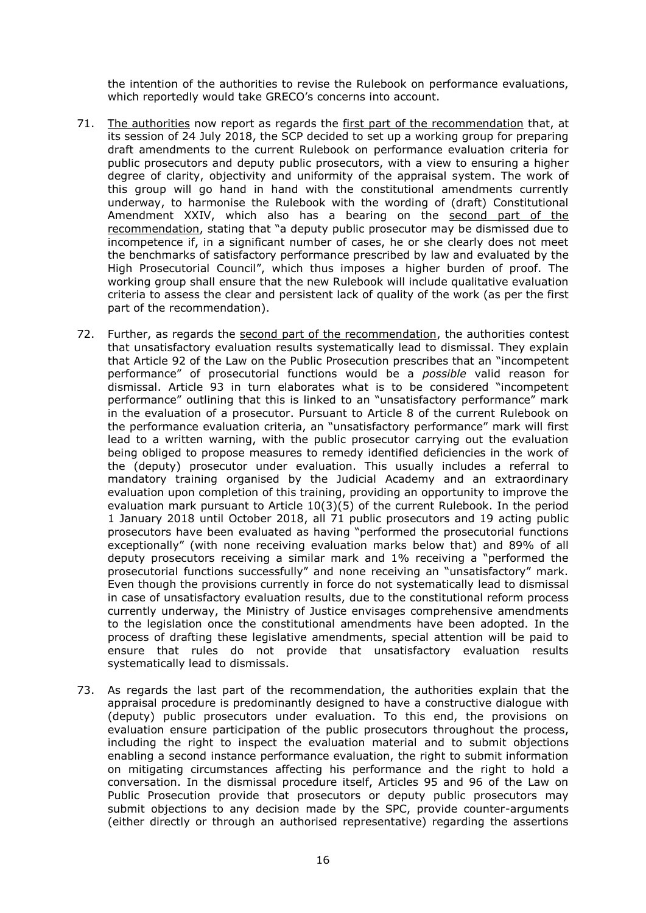the intention of the authorities to revise the Rulebook on performance evaluations, which reportedly would take GRECO's concerns into account.

- 71. The authorities now report as regards the first part of the recommendation that, at its session of 24 July 2018, the SCP decided to set up a working group for preparing draft amendments to the current Rulebook on performance evaluation criteria for public prosecutors and deputy public prosecutors, with a view to ensuring a higher degree of clarity, objectivity and uniformity of the appraisal system. The work of this group will go hand in hand with the constitutional amendments currently underway, to harmonise the Rulebook with the wording of (draft) Constitutional Amendment XXIV, which also has a bearing on the second part of the recommendation, stating that "a deputy public prosecutor may be dismissed due to incompetence if, in a significant number of cases, he or she clearly does not meet the benchmarks of satisfactory performance prescribed by law and evaluated by the High Prosecutorial Council", which thus imposes a higher burden of proof. The working group shall ensure that the new Rulebook will include qualitative evaluation criteria to assess the clear and persistent lack of quality of the work (as per the first part of the recommendation).
- 72. Further, as regards the second part of the recommendation, the authorities contest that unsatisfactory evaluation results systematically lead to dismissal. They explain that Article 92 of the Law on the Public Prosecution prescribes that an "incompetent performance" of prosecutorial functions would be a *possible* valid reason for dismissal. Article 93 in turn elaborates what is to be considered "incompetent performance" outlining that this is linked to an "unsatisfactory performance" mark in the evaluation of a prosecutor. Pursuant to Article 8 of the current Rulebook on the performance evaluation criteria, an "unsatisfactory performance" mark will first lead to a written warning, with the public prosecutor carrying out the evaluation being obliged to propose measures to remedy identified deficiencies in the work of the (deputy) prosecutor under evaluation. This usually includes a referral to mandatory training organised by the Judicial Academy and an extraordinary evaluation upon completion of this training, providing an opportunity to improve the evaluation mark pursuant to Article 10(3)(5) of the current Rulebook. In the period 1 January 2018 until October 2018, all 71 public prosecutors and 19 acting public prosecutors have been evaluated as having "performed the prosecutorial functions exceptionally" (with none receiving evaluation marks below that) and 89% of all deputy prosecutors receiving a similar mark and 1% receiving a "performed the prosecutorial functions successfully" and none receiving an "unsatisfactory" mark. Even though the provisions currently in force do not systematically lead to dismissal in case of unsatisfactory evaluation results, due to the constitutional reform process currently underway, the Ministry of Justice envisages comprehensive amendments to the legislation once the constitutional amendments have been adopted. In the process of drafting these legislative amendments, special attention will be paid to ensure that rules do not provide that unsatisfactory evaluation results systematically lead to dismissals.
- 73. As regards the last part of the recommendation, the authorities explain that the appraisal procedure is predominantly designed to have a constructive dialogue with (deputy) public prosecutors under evaluation. To this end, the provisions on evaluation ensure participation of the public prosecutors throughout the process, including the right to inspect the evaluation material and to submit objections enabling a second instance performance evaluation, the right to submit information on mitigating circumstances affecting his performance and the right to hold a conversation. In the dismissal procedure itself, Articles 95 and 96 of the Law on Public Prosecution provide that prosecutors or deputy public prosecutors may submit objections to any decision made by the SPC, provide counter-arguments (either directly or through an authorised representative) regarding the assertions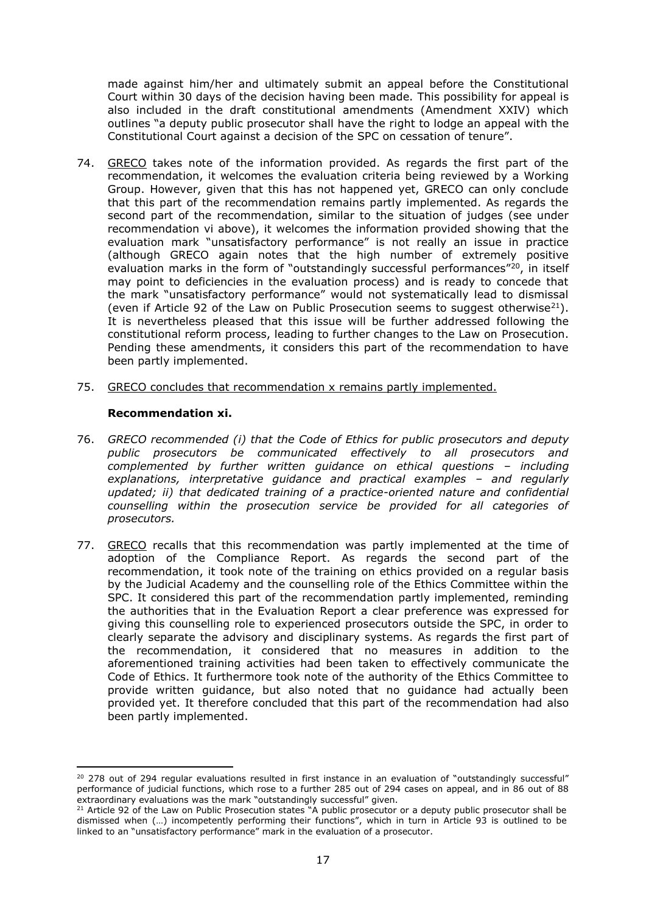made against him/her and ultimately submit an appeal before the Constitutional Court within 30 days of the decision having been made. This possibility for appeal is also included in the draft constitutional amendments (Amendment XXIV) which outlines "a deputy public prosecutor shall have the right to lodge an appeal with the Constitutional Court against a decision of the SPC on cessation of tenure".

- 74. GRECO takes note of the information provided. As regards the first part of the recommendation, it welcomes the evaluation criteria being reviewed by a Working Group. However, given that this has not happened yet, GRECO can only conclude that this part of the recommendation remains partly implemented. As regards the second part of the recommendation, similar to the situation of judges (see under recommendation vi above), it welcomes the information provided showing that the evaluation mark "unsatisfactory performance" is not really an issue in practice (although GRECO again notes that the high number of extremely positive evaluation marks in the form of "outstandingly successful performances"<sup>20</sup>, in itself may point to deficiencies in the evaluation process) and is ready to concede that the mark "unsatisfactory performance" would not systematically lead to dismissal (even if Article 92 of the Law on Public Prosecution seems to suggest otherwise<sup>21</sup>). It is nevertheless pleased that this issue will be further addressed following the constitutional reform process, leading to further changes to the Law on Prosecution. Pending these amendments, it considers this part of the recommendation to have been partly implemented.
- 75. GRECO concludes that recommendation x remains partly implemented.

#### **Recommendation xi.**

 $\overline{\phantom{a}}$ 

- 76. *GRECO recommended (i) that the Code of Ethics for public prosecutors and deputy public prosecutors be communicated effectively to all prosecutors and complemented by further written guidance on ethical questions – including explanations, interpretative guidance and practical examples – and regularly updated; ii) that dedicated training of a practice-oriented nature and confidential counselling within the prosecution service be provided for all categories of prosecutors.*
- 77. GRECO recalls that this recommendation was partly implemented at the time of adoption of the Compliance Report. As regards the second part of the recommendation, it took note of the training on ethics provided on a regular basis by the Judicial Academy and the counselling role of the Ethics Committee within the SPC. It considered this part of the recommendation partly implemented, reminding the authorities that in the Evaluation Report a clear preference was expressed for giving this counselling role to experienced prosecutors outside the SPC, in order to clearly separate the advisory and disciplinary systems. As regards the first part of the recommendation, it considered that no measures in addition to the aforementioned training activities had been taken to effectively communicate the Code of Ethics. It furthermore took note of the authority of the Ethics Committee to provide written guidance, but also noted that no guidance had actually been provided yet. It therefore concluded that this part of the recommendation had also been partly implemented.

<sup>&</sup>lt;sup>20</sup> 278 out of 294 regular evaluations resulted in first instance in an evaluation of "outstandingly successful" performance of judicial functions, which rose to a further 285 out of 294 cases on appeal, and in 86 out of 88 extraordinary evaluations was the mark "outstandingly successful" given.

<sup>&</sup>lt;sup>21</sup> Article 92 of the Law on Public Prosecution states "A public prosecutor or a deputy public prosecutor shall be dismissed when (…) incompetently performing their functions", which in turn in Article 93 is outlined to be linked to an "unsatisfactory performance" mark in the evaluation of a prosecutor.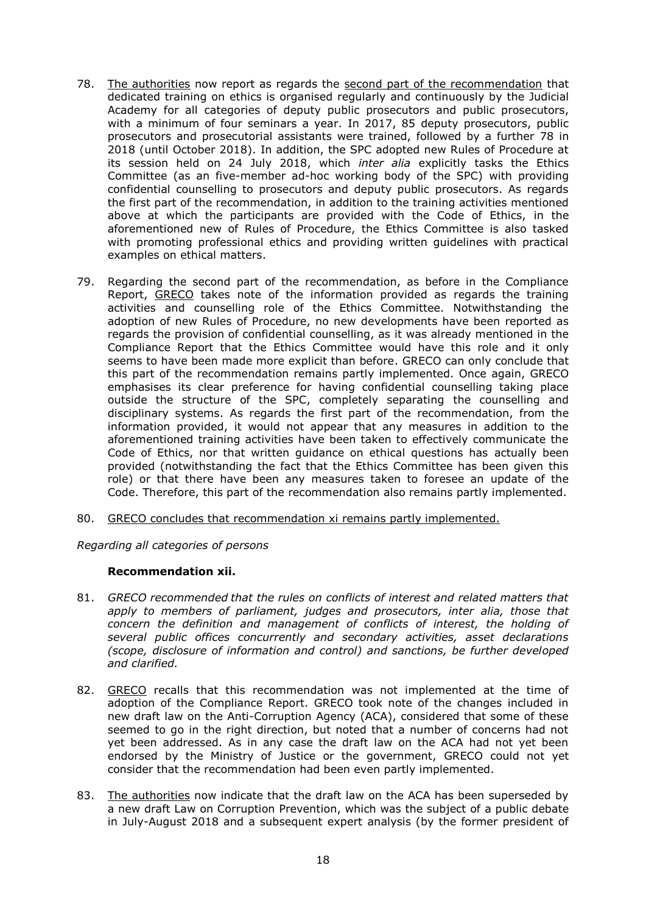- 78. The authorities now report as regards the second part of the recommendation that dedicated training on ethics is organised regularly and continuously by the Judicial Academy for all categories of deputy public prosecutors and public prosecutors, with a minimum of four seminars a year. In 2017, 85 deputy prosecutors, public prosecutors and prosecutorial assistants were trained, followed by a further 78 in 2018 (until October 2018). In addition, the SPC adopted new Rules of Procedure at its session held on 24 July 2018, which *inter alia* explicitly tasks the Ethics Committee (as an five-member ad-hoc working body of the SPC) with providing confidential counselling to prosecutors and deputy public prosecutors. As regards the first part of the recommendation, in addition to the training activities mentioned above at which the participants are provided with the Code of Ethics, in the aforementioned new of Rules of Procedure, the Ethics Committee is also tasked with promoting professional ethics and providing written guidelines with practical examples on ethical matters.
- 79. Regarding the second part of the recommendation, as before in the Compliance Report, GRECO takes note of the information provided as regards the training activities and counselling role of the Ethics Committee. Notwithstanding the adoption of new Rules of Procedure, no new developments have been reported as regards the provision of confidential counselling, as it was already mentioned in the Compliance Report that the Ethics Committee would have this role and it only seems to have been made more explicit than before. GRECO can only conclude that this part of the recommendation remains partly implemented. Once again, GRECO emphasises its clear preference for having confidential counselling taking place outside the structure of the SPC, completely separating the counselling and disciplinary systems. As regards the first part of the recommendation, from the information provided, it would not appear that any measures in addition to the aforementioned training activities have been taken to effectively communicate the Code of Ethics, nor that written guidance on ethical questions has actually been provided (notwithstanding the fact that the Ethics Committee has been given this role) or that there have been any measures taken to foresee an update of the Code. Therefore, this part of the recommendation also remains partly implemented.
- 80. GRECO concludes that recommendation xi remains partly implemented.

#### *Regarding all categories of persons*

#### **Recommendation xii.**

- 81. *GRECO recommended that the rules on conflicts of interest and related matters that apply to members of parliament, judges and prosecutors, inter alia, those that concern the definition and management of conflicts of interest, the holding of several public offices concurrently and secondary activities, asset declarations (scope, disclosure of information and control) and sanctions, be further developed and clarified.*
- 82. GRECO recalls that this recommendation was not implemented at the time of adoption of the Compliance Report. GRECO took note of the changes included in new draft law on the Anti-Corruption Agency (ACA), considered that some of these seemed to go in the right direction, but noted that a number of concerns had not yet been addressed. As in any case the draft law on the ACA had not yet been endorsed by the Ministry of Justice or the government, GRECO could not yet consider that the recommendation had been even partly implemented.
- 83. The authorities now indicate that the draft law on the ACA has been superseded by a new draft Law on Corruption Prevention, which was the subject of a public debate in July-August 2018 and a subsequent expert analysis (by the former president of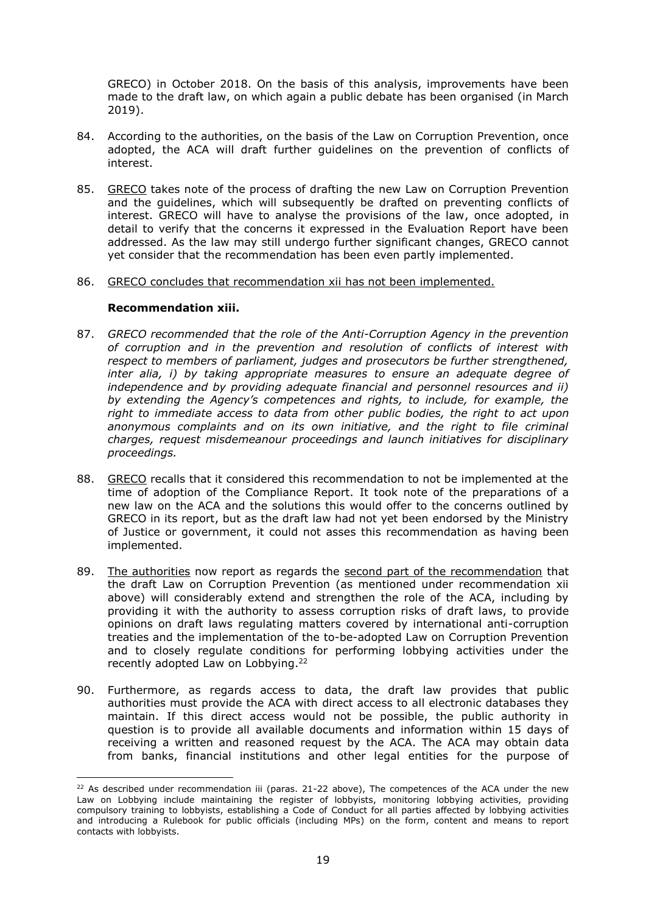GRECO) in October 2018. On the basis of this analysis, improvements have been made to the draft law, on which again a public debate has been organised (in March 2019).

- 84. According to the authorities, on the basis of the Law on Corruption Prevention, once adopted, the ACA will draft further guidelines on the prevention of conflicts of interest.
- 85. GRECO takes note of the process of drafting the new Law on Corruption Prevention and the guidelines, which will subsequently be drafted on preventing conflicts of interest. GRECO will have to analyse the provisions of the law, once adopted, in detail to verify that the concerns it expressed in the Evaluation Report have been addressed. As the law may still undergo further significant changes, GRECO cannot yet consider that the recommendation has been even partly implemented.

#### 86. GRECO concludes that recommendation xii has not been implemented.

#### **Recommendation xiii.**

 $\overline{\phantom{a}}$ 

- 87. *GRECO recommended that the role of the Anti-Corruption Agency in the prevention of corruption and in the prevention and resolution of conflicts of interest with respect to members of parliament, judges and prosecutors be further strengthened, inter alia, i) by taking appropriate measures to ensure an adequate degree of independence and by providing adequate financial and personnel resources and ii) by extending the Agency's competences and rights, to include, for example, the right to immediate access to data from other public bodies, the right to act upon anonymous complaints and on its own initiative, and the right to file criminal charges, request misdemeanour proceedings and launch initiatives for disciplinary proceedings.*
- 88. GRECO recalls that it considered this recommendation to not be implemented at the time of adoption of the Compliance Report. It took note of the preparations of a new law on the ACA and the solutions this would offer to the concerns outlined by GRECO in its report, but as the draft law had not yet been endorsed by the Ministry of Justice or government, it could not asses this recommendation as having been implemented.
- 89. The authorities now report as regards the second part of the recommendation that the draft Law on Corruption Prevention (as mentioned under recommendation xii above) will considerably extend and strengthen the role of the ACA, including by providing it with the authority to assess corruption risks of draft laws, to provide opinions on draft laws regulating matters covered by international anti-corruption treaties and the implementation of the to-be-adopted Law on Corruption Prevention and to closely regulate conditions for performing lobbying activities under the recently adopted Law on Lobbying.<sup>22</sup>
- 90. Furthermore, as regards access to data, the draft law provides that public authorities must provide the ACA with direct access to all electronic databases they maintain. If this direct access would not be possible, the public authority in question is to provide all available documents and information within 15 days of receiving a written and reasoned request by the ACA. The ACA may obtain data from banks, financial institutions and other legal entities for the purpose of

 $22$  As described under recommendation iii (paras. 21-22 above), The competences of the ACA under the new Law on Lobbying include maintaining the register of lobbyists, monitoring lobbying activities, providing compulsory training to lobbyists, establishing a Code of Conduct for all parties affected by lobbying activities and introducing a Rulebook for public officials (including MPs) on the form, content and means to report contacts with lobbyists.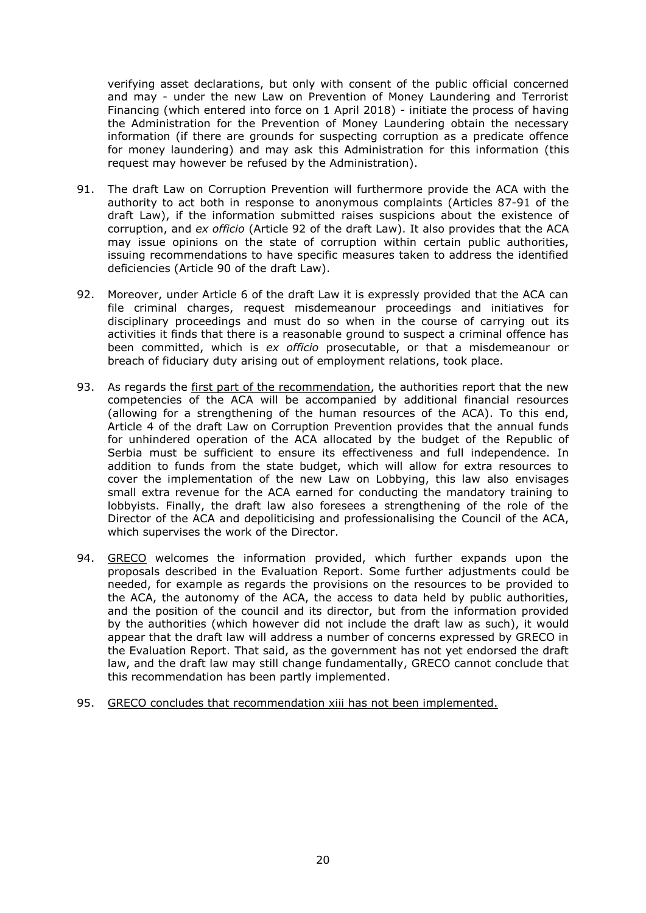verifying asset declarations, but only with consent of the public official concerned and may - under the new Law on Prevention of Money Laundering and Terrorist Financing (which entered into force on 1 April 2018) - initiate the process of having the Administration for the Prevention of Money Laundering obtain the necessary information (if there are grounds for suspecting corruption as a predicate offence for money laundering) and may ask this Administration for this information (this request may however be refused by the Administration).

- 91. The draft Law on Corruption Prevention will furthermore provide the ACA with the authority to act both in response to anonymous complaints (Articles 87-91 of the draft Law), if the information submitted raises suspicions about the existence of corruption, and *ex officio* (Article 92 of the draft Law). It also provides that the ACA may issue opinions on the state of corruption within certain public authorities, issuing recommendations to have specific measures taken to address the identified deficiencies (Article 90 of the draft Law).
- 92. Moreover, under Article 6 of the draft Law it is expressly provided that the ACA can file criminal charges, request misdemeanour proceedings and initiatives for disciplinary proceedings and must do so when in the course of carrying out its activities it finds that there is a reasonable ground to suspect a criminal offence has been committed, which is *ex officio* prosecutable, or that a misdemeanour or breach of fiduciary duty arising out of employment relations, took place.
- 93. As regards the first part of the recommendation, the authorities report that the new competencies of the ACA will be accompanied by additional financial resources (allowing for a strengthening of the human resources of the ACA). To this end, Article 4 of the draft Law on Corruption Prevention provides that the annual funds for unhindered operation of the ACA allocated by the budget of the Republic of Serbia must be sufficient to ensure its effectiveness and full independence. In addition to funds from the state budget, which will allow for extra resources to cover the implementation of the new Law on Lobbying, this law also envisages small extra revenue for the ACA earned for conducting the mandatory training to lobbyists. Finally, the draft law also foresees a strengthening of the role of the Director of the ACA and depoliticising and professionalising the Council of the ACA, which supervises the work of the Director.
- 94. GRECO welcomes the information provided, which further expands upon the proposals described in the Evaluation Report. Some further adjustments could be needed, for example as regards the provisions on the resources to be provided to the ACA, the autonomy of the ACA, the access to data held by public authorities, and the position of the council and its director, but from the information provided by the authorities (which however did not include the draft law as such), it would appear that the draft law will address a number of concerns expressed by GRECO in the Evaluation Report. That said, as the government has not yet endorsed the draft law, and the draft law may still change fundamentally, GRECO cannot conclude that this recommendation has been partly implemented.
- 95. GRECO concludes that recommendation xiii has not been implemented.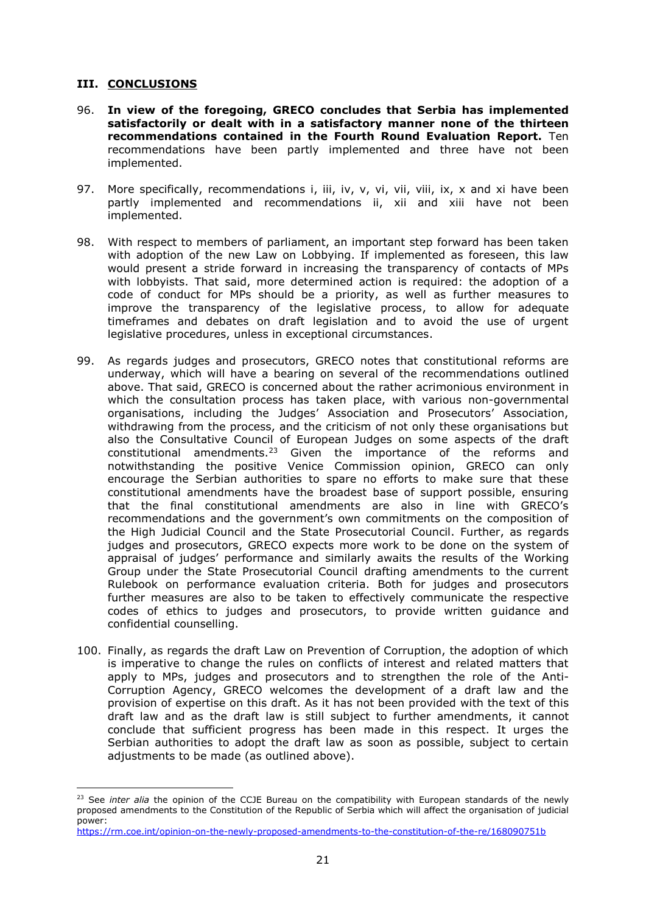#### **III. CONCLUSIONS**

 $\overline{\phantom{a}}$ 

- 96. **In view of the foregoing, GRECO concludes that Serbia has implemented satisfactorily or dealt with in a satisfactory manner none of the thirteen recommendations contained in the Fourth Round Evaluation Report.** Ten recommendations have been partly implemented and three have not been implemented.
- 97. More specifically, recommendations i, iii, iv, v, vi, vii, viii, ix, x and xi have been partly implemented and recommendations ii, xii and xiii have not been implemented.
- 98. With respect to members of parliament, an important step forward has been taken with adoption of the new Law on Lobbying. If implemented as foreseen, this law would present a stride forward in increasing the transparency of contacts of MPs with lobbyists. That said, more determined action is required: the adoption of a code of conduct for MPs should be a priority, as well as further measures to improve the transparency of the legislative process, to allow for adequate timeframes and debates on draft legislation and to avoid the use of urgent legislative procedures, unless in exceptional circumstances.
- 99. As regards judges and prosecutors, GRECO notes that constitutional reforms are underway, which will have a bearing on several of the recommendations outlined above. That said, GRECO is concerned about the rather acrimonious environment in which the consultation process has taken place, with various non-governmental organisations, including the Judges' Association and Prosecutors' Association, withdrawing from the process, and the criticism of not only these organisations but also the Consultative Council of European Judges on some aspects of the draft constitutional amendments.<sup>23</sup> Given the importance of the reforms and notwithstanding the positive Venice Commission opinion, GRECO can only encourage the Serbian authorities to spare no efforts to make sure that these constitutional amendments have the broadest base of support possible, ensuring that the final constitutional amendments are also in line with GRECO's recommendations and the government's own commitments on the composition of the High Judicial Council and the State Prosecutorial Council. Further, as regards judges and prosecutors, GRECO expects more work to be done on the system of appraisal of judges' performance and similarly awaits the results of the Working Group under the State Prosecutorial Council drafting amendments to the current Rulebook on performance evaluation criteria. Both for judges and prosecutors further measures are also to be taken to effectively communicate the respective codes of ethics to judges and prosecutors, to provide written guidance and confidential counselling.
- 100. Finally, as regards the draft Law on Prevention of Corruption, the adoption of which is imperative to change the rules on conflicts of interest and related matters that apply to MPs, judges and prosecutors and to strengthen the role of the Anti-Corruption Agency, GRECO welcomes the development of a draft law and the provision of expertise on this draft. As it has not been provided with the text of this draft law and as the draft law is still subject to further amendments, it cannot conclude that sufficient progress has been made in this respect. It urges the Serbian authorities to adopt the draft law as soon as possible, subject to certain adjustments to be made (as outlined above).

<sup>23</sup> See *inter alia* the opinion of the CCJE Bureau on the compatibility with European standards of the newly proposed amendments to the Constitution of the Republic of Serbia which will affect the organisation of judicial power:

<https://rm.coe.int/opinion-on-the-newly-proposed-amendments-to-the-constitution-of-the-re/168090751b>